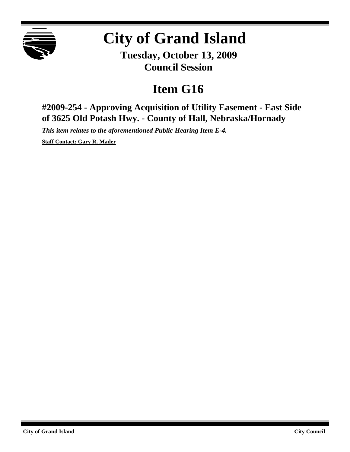

## **City of Grand Island**

**Tuesday, October 13, 2009 Council Session**

## **Item G16**

**#2009-254 - Approving Acquisition of Utility Easement - East Side of 3625 Old Potash Hwy. - County of Hall, Nebraska/Hornady**

*This item relates to the aforementioned Public Hearing Item E-4.*

**Staff Contact: Gary R. Mader**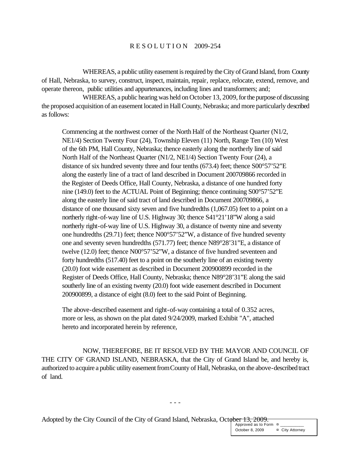## R E S O L U T I O N 2009-254

WHEREAS, a public utility easement is required by the City of Grand Island, from County of Hall, Nebraska, to survey, construct, inspect, maintain, repair, replace, relocate, extend, remove, and operate thereon, public utilities and appurtenances, including lines and transformers; and;

WHEREAS, a public hearing was held on October 13, 2009, for the purpose of discussing the proposed acquisition of an easement located in Hall County, Nebraska; and more particularly described as follows:

Commencing at the northwest corner of the North Half of the Northeast Quarter (N1/2, NE1/4) Section Twenty Four (24), Township Eleven (11) North, Range Ten (10) West of the 6th PM, Hall County, Nebraska; thence easterly along the northerly line of said North Half of the Northeast Quarter (N1/2, NE1/4) Section Twenty Four (24), a distance of six hundred seventy three and four tenths (673.4) feet; thence S00°57'52"E along the easterly line of a tract of land described in Document 200709866 recorded in the Register of Deeds Office, Hall County, Nebraska, a distance of one hundred forty nine (149.0) feet to the ACTUAL Point of Beginning; thence continuing S00°57'52"E along the easterly line of said tract of land described in Document 200709866, a distance of one thousand sixty seven and five hundredths (1,067.05) feet to a point on a northerly right-of-way line of U.S. Highway 30; thence S41°21'18"W along a said northerly right-of-way line of U.S. Highway 30, a distance of twenty nine and seventy one hundredths (29.71) feet; thence N00°57'52"W, a distance of five hundred seventy one and seventy seven hundredths (571.77) feet; thence N89°28'31"E, a distance of twelve (12.0) feet; thence N00°57'52"W, a distance of five hundred seventeen and forty hundredths (517.40) feet to a point on the southerly line of an existing twenty (20.0) foot wide easement as described in Document 200900899 recorded in the Register of Deeds Office, Hall County, Nebraska; thence N89°28'31"E along the said southerly line of an existing twenty (20.0) foot wide easement described in Document 200900899, a distance of eight (8.0) feet to the said Point of Beginning.

The above-described easement and right-of-way containing a total of 0.352 acres, more or less, as shown on the plat dated 9/24/2009, marked Exhibit "A", attached hereto and incorporated herein by reference,

NOW, THEREFORE, BE IT RESOLVED BY THE MAYOR AND COUNCIL OF THE CITY OF GRAND ISLAND, NEBRASKA, that the City of Grand Island be, and hereby is, authorized to acquire a public utility easement fromCounty of Hall, Nebraska, on the above-described tract of land.

- - -

Adopted by the City Council of the City of Grand Island, Nebraska, October 13, 2009.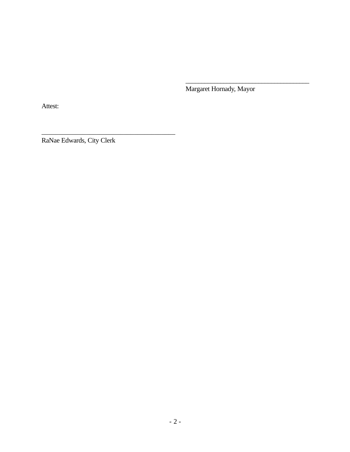Margaret Hornady, Mayor

\_\_\_\_\_\_\_\_\_\_\_\_\_\_\_\_\_\_\_\_\_\_\_\_\_\_\_\_\_\_\_\_\_\_\_\_\_\_\_

Attest:

RaNae Edwards, City Clerk

\_\_\_\_\_\_\_\_\_\_\_\_\_\_\_\_\_\_\_\_\_\_\_\_\_\_\_\_\_\_\_\_\_\_\_\_\_\_\_